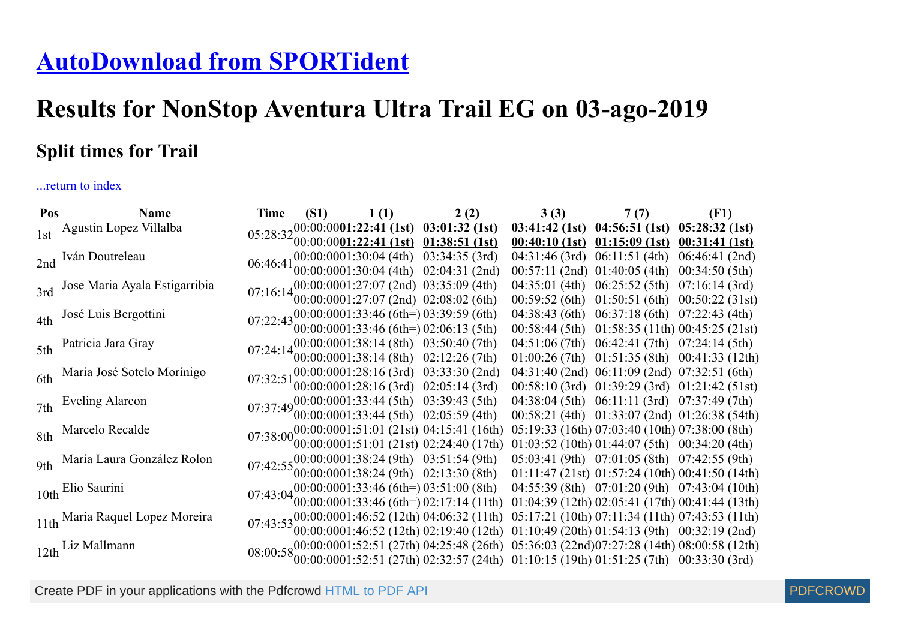## **[AutoDownload from SPORTident](http://www.sportident.co.uk/)**

## **Results for NonStop Aventura Ultra Trail EG on 03-ago-2019**

## **Split times for Trail**

## ...return to index

| Pos | <b>Name</b>                       | Time                                                                                                                                                                                                                           | (S1) $1(1)$ $2(2)$ |                                                                                                                                                                                       | 3(3) | 7(7)                                                 | (F1)                                                  |
|-----|-----------------------------------|--------------------------------------------------------------------------------------------------------------------------------------------------------------------------------------------------------------------------------|--------------------|---------------------------------------------------------------------------------------------------------------------------------------------------------------------------------------|------|------------------------------------------------------|-------------------------------------------------------|
|     | 1st Agustin Lopez Villalba        |                                                                                                                                                                                                                                |                    | $05:28:32_{00.001}^{00.00100001:22:41 (1st) 03:01:32 (1st)$                                                                                                                           |      | $03:41:42$ (1st) $04:56:51$ (1st)                    | 05:28:32(1st)                                         |
|     |                                   |                                                                                                                                                                                                                                |                    | $00:00:0001:22:41$ (1st) 01:38:51 (1st)                                                                                                                                               |      | $00:40:10(1st)$ $01:15:09(1st)$                      | $00:31:41$ (1st)                                      |
|     | 2nd Iván Doutreleau               | 06:46:41                                                                                                                                                                                                                       |                    | $00:00:0001:30:04$ (4th) $03:34:35$ (3rd)                                                                                                                                             |      | $04:31:46$ (3rd) $06:11:51$ (4th)                    | $06:46:41$ (2nd)                                      |
|     |                                   |                                                                                                                                                                                                                                |                    | 00:00:0001:30:04 (4th) 02:04:31 (2nd)                                                                                                                                                 |      | $00:57:11$ (2nd) $01:40:05$ (4th)                    | 00:34:50(5th)                                         |
|     | 3rd Jose Maria Ayala Estigarribia | 07:16:1400:00:0001:27:07 (2nd) 03:35:09 (4th)<br>07:16:1400:00:0001:27:07 (2nd) 02:08:02 (6th)                                                                                                                                 |                    |                                                                                                                                                                                       |      | $04:35:01$ (4th) $06:25:52$ (5th) $07:16:14$ (3rd)   |                                                       |
|     |                                   |                                                                                                                                                                                                                                |                    |                                                                                                                                                                                       |      |                                                      | $00:59:52$ (6th) $01:50:51$ (6th) $00:50:22$ (31st)   |
|     | 4th José Luis Bergottini          | 07:22:43 $00:00:0001:33:46$ (6th=) 03:39:59 (6th)<br>07:22:43 $00:00:0001:33:46$ (6th=) 02:06:13 (5th)                                                                                                                         |                    |                                                                                                                                                                                       |      | 04:38:43 (6th) 06:37:18 (6th) 07:22:43 (4th)         |                                                       |
|     |                                   |                                                                                                                                                                                                                                |                    |                                                                                                                                                                                       |      |                                                      | $00:58:44$ (5th) $01:58:35$ (11th) $00:45:25$ (21st)  |
|     | 5th Patricia Jara Gray            |                                                                                                                                                                                                                                |                    | 07:24:1400:00:0001:38:14 (8th) 03:50:40 (7th)                                                                                                                                         |      | 04:51:06 (7th) 06:42:41 (7th) 07:24:14 (5th)         |                                                       |
|     |                                   |                                                                                                                                                                                                                                |                    | $(00:00:0001:38:14(8th)$ 02:12:26 (7th)                                                                                                                                               |      |                                                      | $01:00:26$ (7th) $01:51:35$ (8th) $00:41:33$ (12th)   |
|     | 6th María José Sotelo Morínigo    |                                                                                                                                                                                                                                |                    | 07:32:51 00:00:0001:28:16 (3rd) 03:33:30 (2nd)                                                                                                                                        |      | 04:31:40 (2nd) 06:11:09 (2nd) 07:32:51 (6th)         |                                                       |
|     |                                   |                                                                                                                                                                                                                                |                    | 00:00:0001:28:16 (3rd) 02:05:14 (3rd)                                                                                                                                                 |      |                                                      | $00:58:10$ (3rd) $01:39:29$ (3rd) $01:21:42$ (51st)   |
|     | 7th Eveling Alarcon               |                                                                                                                                                                                                                                |                    | 07:37:4900:00:0001:33:44 (5th) 03:39:43 (5th)<br>07:37:4900:00:0001:33:44 (5th) 02:05:59 (4th)                                                                                        |      | $04:38:04$ (5th) $06:11:11$ (3rd) $07:37:49$ (7th)   |                                                       |
|     |                                   |                                                                                                                                                                                                                                |                    |                                                                                                                                                                                       |      |                                                      | $00:58:21$ (4th) $01:33:07$ (2nd) $01:26:38$ (54th)   |
|     | 8th Marcelo Recalde               | 07:38:0000:00:0001:51:01 (21st) 04:15:41 (16th)<br>07:38:0000:00:00001:51:01 (21st) 02:24:40 (17th)                                                                                                                            |                    |                                                                                                                                                                                       |      | $05:19:33$ (16th) $07:03:40$ (10th) $07:38:00$ (8th) |                                                       |
|     |                                   |                                                                                                                                                                                                                                |                    |                                                                                                                                                                                       |      | $01:03:52$ (10th) $01:44:07$ (5th) $00:34:20$ (4th)  |                                                       |
|     | 9th María Laura González Rolon    |                                                                                                                                                                                                                                |                    | $07:42:55\begin{array}{l} 00:0010001:38:24 \text{ (9th)} & 03:51:54 \text{ (9th)} \\ 00:0010001:38:24 \text{ (9th)} & 02:13:30 \text{ (8th)} \end{array}$                             |      | $05:03:41$ (9th) $07:01:05$ (8th) $07:42:55$ (9th)   |                                                       |
|     |                                   |                                                                                                                                                                                                                                |                    |                                                                                                                                                                                       |      |                                                      | $01:11:47$ (21st) $01:57:24$ (10th) $00:41:50$ (14th) |
|     |                                   | $07:43:04\begin{array}{l}00:000001:33:46 \text{ (6th=)} 03:51:00 \text{ (8th)}\\00:00:0001:33:46 \text{ (6th=)} 02:17:14 \text{ (11th)}\end{array}$<br>10th Elio Saurini                                                       |                    |                                                                                                                                                                                       |      |                                                      | $04:55:39$ (8th) $07:01:20$ (9th) $07:43:04$ (10th)   |
|     |                                   |                                                                                                                                                                                                                                |                    |                                                                                                                                                                                       |      |                                                      | 01:04:39 (12th) 02:05:41 (17th) 00:41:44 (13th)       |
|     | 11th Maria Raquel Lopez Moreira   | 07:43:53 00:00:0001:46:52 (12th) 04:06:32 (11th) 05:17:21 (10th) 07:11:34 (11th) 07:43:53 (11th) 07:43:53 (11th) 07:43:53 (11th) 07:43:53 (11th) 07:43:53 (11th) 07:43:53 (11th) 07:43:53 (11th) 07:43:53 (11th) 09:32:19 (2nd |                    |                                                                                                                                                                                       |      |                                                      | 05:17:21 (10th) 07:11:34 (11th) 07:43:53 (11th)       |
|     |                                   |                                                                                                                                                                                                                                |                    |                                                                                                                                                                                       |      |                                                      |                                                       |
|     | 12th Liz Mallmann                 |                                                                                                                                                                                                                                |                    | 08:00:58 00:00:0001:52:51 (27th) 04:25:48 (26th) 05:36:03 (22nd)07:27:28 (14th) 08:00:58 (12th) 08:00:0001:52:51 (27th) 02:32:57 (24th) 01:10:15 (19th) 01:51:25 (7th) 00:33:30 (3rd) |      |                                                      |                                                       |
|     |                                   |                                                                                                                                                                                                                                |                    |                                                                                                                                                                                       |      |                                                      |                                                       |
|     |                                   |                                                                                                                                                                                                                                |                    |                                                                                                                                                                                       |      |                                                      |                                                       |

Create PDF in your applications with the Pdfcrowd [HTML to PDF API](https://pdfcrowd.com/doc/api/?ref=pdf) [PDFCROWD](https://pdfcrowd.com/?ref=pdf)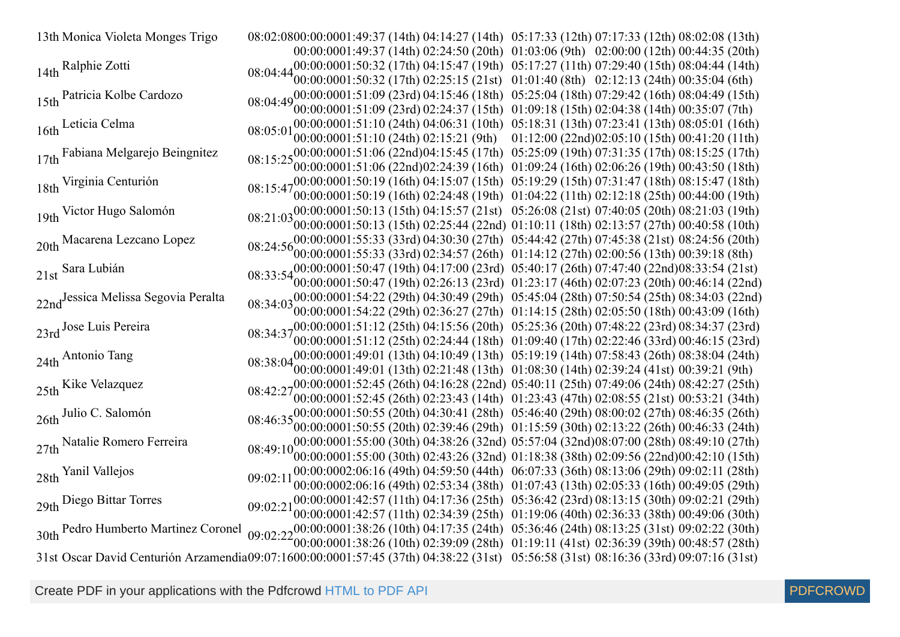13th Monica Violeta Monges Trigo 00:00:0001:49:37 (14th) 02:24:50 (20th) 01:03:06 (9th) 02:00:00 (12th) 00:44:35 (20th) 01:49:37 (14th) 04:14:27 (14th) 05:17:33 (12th) 07:17:33 (12th) 08:02:08 (13th) 14th Ralphie Zotti 00:00:0001:50:32 (17th) 02:25:15 (21st) 01:01:40 (8th) 02:12:13 (24th) 00:35:04 (6th) 01:50:32 (17th) 04:15:47 (19th) 05:17:27 (11th) 07:29:40 (15th) 08:04:44 (14th) 15th Patricia Kolbe Cardozo 00:00:00 01:51:09 (23rd) 02:24:37 (15th) 01:09:18 (15th) 02:04:38 (14th) 00:35:07 (7th) 01:51:09 (23rd) 04:15:46 (18th) 05:25:04 (18th) 07:29:42 (16th) 08:04:49 (15th) 16th Leticia Celma 00:00:0001:51:10 (24th) 02:15:21 (9th) 01:12:00 (22nd)02:05:10 (15th) 00:41:20 (11th) 01:51:10 (24th) 04:06:31 (10th) 05:18:31 (13th) 07:23:41 (13th) 08:05:01 (16th) 17th Fabiana Melgarejo Beingnitez 00:00:00 01:51:06 (22nd) 01:51:06 (22nd) 04:15:45 (17th) 02:24:39 (16th) 05:25:09 (19th) 01:09:24 (16th) 07:31:35 (17th) 02:06:26 (19th) 08:15:25 (17th) 00:43:50 (18th) 18th Virginia Centurión 00:00:0001:50:19 (16th) 02:24:48 (19th) 01:04:22 (11th) 02:12:18 (25th) 00:44:00 (19th) 01:50:19 (16th) 04:15:07 (15th) 05:19:29 (15th) 07:31:47 (18th) 08:15:47 (18th) 19th Victor Hugo Salomón  $08:21:03$ 00:00:00 01:50:13 (15th) 02:25:44 (22nd) 01:10:11 (18th) 02:13:57 (27th) 00:40:58 (10th) 01:50:13 (15th) 04:15:57 (21st) 05:26:08 (21st) 07:40:05 (20th) 08:21:03 (19th) 20th Macarena Lezcano Lopez 00:00:0001:55:33 (33rd) 02:34:57 (26th) 01:14:12 (27th) 02:00:56 (13th) 00:39:18 (8th) 01:55:33 (33rd) 04:30:30 (27th) 05:44:42 (27th) 07:45:38 (21st) 08:24:56 (20th) 21st Sara Lubián<br>
21st Sara Lubián 
08:33:5400:00:0001:50:47 (19th) 04:17:00 (23rd) 05:40:17 (26th) 07:47:40 (22nd)08:33:54 (21st) 00:00:0001:50:47 (19th) 02:26:13 (23rd) 01:23:17 (46th) 02:07:23 (20th) 00:46:14 (22nd) 22nd<sup>Jessica</sup> Melissa Segovia Peralta 00:00:0001:54:22 (29th) 02:36:27 (27th) 01:14:15 (28th) 02:05:50 (18th) 00:43:09 (16th) 01:54:22 (29th) 04:30:49 (29th) 05:45:04 (28th) 07:50:54 (25th) 08:34:03 (22nd) 23rd Jose Luis Pereira 00:00:0001:51:12 (25th) 02:24:44 (18th) 01:09:40 (17th) 02:22:46 (33rd) 00:46:15 (23rd) 01:51:12 (25th) 04:15:56 (20th) 05:25:36 (20th) 07:48:22 (23rd) 08:34:37 (23rd) 24th Antonio Tang 00:00:0001:49:01 (13th) 02:21:48 (13th) 01:08:30 (14th) 02:39:24 (41st) 00:39:21 (9th) 01:49:01 (13th) 04:10:49 (13th) 05:19:19 (14th) 07:58:43 (26th) 08:38:04 (24th) 25th Kike Velazquez 00:00:0001:52:45 (26th) 02:23:43 (14th) 01:23:43 (47th) 02:08:55 (21st) 00:53:21 (34th) 01:52:45 (26th) 04:16:28 (22nd) 05:40:11 (25th) 07:49:06 (24th) 08:42:27 (25th) 26th Julio C. Salomón 00:00:0001:50:55 (20th) 02:39:46 (29th) 01:15:59 (30th) 02:13:22 (26th) 00:46:33 (24th) 01:50:55 (20th) 04:30:41 (28th) 05:46:40 (29th) 08:00:02 (27th) 08:46:35 (26th) 27th Natalie Romero Ferreira 08:49:10 00:00:0001:55:00 (30th) 02:43:26 (32nd) 01:18:38 (38th) 02:09:56 (22nd)00:42:10 (15th) 01:55:00 (30th) 04:38:26 (32nd) 05:57:04 (32nd) 08:07:00 (28th) 08:49:10 (27th) 28th Yanil Vallejos 09:02:11 00:00:0002:06:16 (49th) 04:59:50 (44th) 06:07:33 (36th) 08:13:06 (29th) 09:02:11 (28th) 00:00:0002:06:16 (49th) 02:53:34 (38th) 01:07:43 (13th) 02:05:33 (16th) 00:49:05 (29th)  $29th$  Diego Bittar Torres 09:02:21 00:00:0001:42:57 (11th) 02:34:39 (25th) 01:19:06 (40th) 02:36:33 (38th) 00:49:06 (30th) 01:42:57 (11th) 04:17:36 (25th) 05:36:42 (23rd) 08:13:15 (30th) 09:02:21 (29th) 30th Pedro Humberto Martinez Coronel 00:00:0001:38:26 (10th) 02:39:09 (28th) 01:19:11 (41st) 02:36:39 (39th) 00:48:57 (28th) 01:38:26 (10th) 04:17:35 (24th) 05:36:46 (24th) 08:13:25 (31st) 09:02:22 (30th) 31st Oscar David Centurión Arzamendia09:07:1600:00:0001:57:45 (37th) 04:38:22 (31st) 05:56:58 (31st) 08:16:36 (33rd) 09:07:16 (31st)

Create PDF in your applications with the Pdfcrowd [HTML to PDF API](https://pdfcrowd.com/doc/api/?ref=pdf) [PDFCROWD](https://pdfcrowd.com/?ref=pdf) Create PDF API PDFCROWD

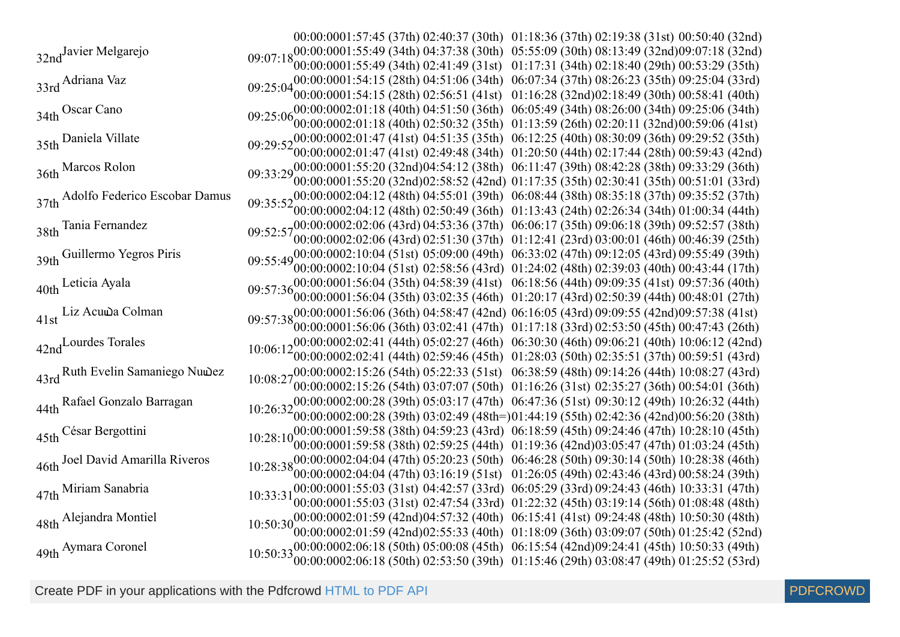00:00:0001:57:45 (37th) 02:40:37 (30th) 01:18:36 (37th) 02:19:38 (31st) 00:50:40 (32nd) 32nd<sup>Javier</sup> Melgarejo 00:00:0001:55:49 (34th) 02:41:49 (31st) 01:17:31 (34th) 02:18:40 (29th) 00:53:29 (35th) 01:55:49 (34th) 04:37:38 (30th) 05:55:09 (30th) 08:13:49 (32nd) 09:07:18 (32nd) 33rd Adriana Vaz<br>
09:25:04 00:00:0001:54:15 (28th) 04:51:06 (34th) 06:07:34 (37th) 08:26:23 (35th) 09:25:04 (33rd)<br>
09:25:04 00:0001:54:15 (28th) 03:56:51 (41at) 01:16:28 (23rd)02:18:40 (20th) 00:58:41 (40th) 00:00:00 01:54:15 (28th) 02:56:51 (41st) 01:16:28 (32nd) 02:18:49 (30th) 00:58:41 (40th) 34th Oscar Cano 00:00:0002:01:18 (40th) 02:50:32 (35th) 01:13:59 (26th) 02:20:11 (32nd)00:59:06 (41st) 02:01:18 (40th) 04:51:50 (36th) 06:05:49 (34th) 08:26:00 (34th) 09:25:06 (34th) 35th Daniela Villate 00:00:0002:01:47 (41st) 02:49:48 (34th) 01:20:50 (44th) 02:17:44 (28th) 00:59:43 (42nd) 02:01:47 (41st) 04:51:35 (35th) 06:12:25 (40th) 08:30:09 (36th) 09:29:52 (35th) 36th Marcos Rolon 00:00:00 01:55:20 (32nd) 02:58:52 (42nd) 01:17:35 (35th) 02:30:41 (35th) 00:51:01 (33rd) 01:55:20 (32nd)04:54:12 (38th) 06:11:47 (39th) 08:42:28 (38th) 09:33:29 (36th) 37th Adolfo Federico Escobar Damus 00:00:0002:04:12 (48th) 02:50:49 (36th) 01:13:43 (24th) 02:26:34 (34th) 01:00:34 (44th) 02:04:12 (48th) 04:55:01 (39th) 06:08:44 (38th) 08:35:18 (37th) 09:35:52 (37th) 38th Tania Fernandez<br>
09:52:5700:00:0002:02:06 (43rd) 04:53:36 (37th) 06:06:17 (35th) 09:06:18 (39th) 09:52:57 (38th)<br>
09:52:5700:00:0003:02:06 (43rd) 03:51:20 (27th) 01:12:41 (22rd) 02:00:01 (46th) 00:46:20 (25th) 00:00:00 02:02:06 (43rd) 02:51:30 (37th) 01:12:41 (23rd) 03:00:01 (46th) 00:46:39 (25th) 39th Guillermo Yegros Piris 00:00:0002:10:04 (51st) 02:58:56 (43rd) 01:24:02 (48th) 02:39:03 (40th) 00:43:44 (17th) 02:10:04 (51st) 05:09:00 (49th) 06:33:02 (47th) 09:12:05 (43rd) 09:55:49 (39th) 40th Leticia Ayala 00:00:0001:56:04 (35th) 03:02:35 (46th) 01:20:17 (43rd) 02:50:39 (44th) 00:48:01 (27th) 01:56:04 (35th) 04:58:39 (41st) 06:18:56 (44th) 09:09:35 (41st) 09:57:36 (40th) 41st Liz Acuwa Colman 00:00:00 01:56:06 (36th) 01:56:06 (36th) 04:58:47 (42nd) 03:02:41 (47th) 06:16:05 (43rd) 01:17:18 (33rd) 09:09:55 (42nd) 02:53:50 (45th) 09:57:38 (41st) 00:47:43 (26th) 42nd<sup>Lourdes</sup> Torales 00:00:0002:02:41 (44th) 02:59:46 (45th) 01:28:03 (50th) 02:35:51 (37th) 00:59:51 (43rd) 02:02:41 (44th) 05:02:27 (46th) 06:30:30 (46th) 09:06:21 (40th) 10:06:12 (42nd) 43rd Ruth Evelin Samaniego Nuwez 00:00:0002:15:26 (54th) 03:07:07 (50th) 01:16:26 (31st) 02:35:27 (36th) 00:54:01 (36th) 02:15:26 (54th) 05:22:33 (51st) 06:38:59 (48th) 09:14:26 (44th) 10:08:27 (43rd) 44th Rafael Gonzalo Barragan 00:00:0002:00:28 (39th) 03:02:49 (48th=)01:44:19 (55th) 02:42:36 (42nd)00:56:20 (38th) 02:00:28 (39th) 05:03:17 (47th) 06:47:36 (51st) 09:30:12 (49th) 10:26:32 (44th) 45th César Bergottini 00:00:0001:59:58 (38th) 02:59:25 (44th) 01:19:36 (42nd)03:05:47 (47th) 01:03:24 (45th) 01:59:58 (38th) 04:59:23 (43rd) 06:18:59 (45th) 09:24:46 (47th) 10:28:10 (45th) 46th Joel David Amarilla Riveros 00:00:00 02:04:04 (47th) 03:16:19 (51st) 01:26:05 (49th) 02:43:46 (43rd) 00:58:24 (39th) 02:04:04 (47th) 05:20:23 (50th) 06:46:28 (50th) 09:30:14 (50th) 10:28:38 (46th) 47th Miriam Sanabria 00:00:00 01:55:03 (31st) 02:47:54 (33rd) 01:22:32 (45th) 03:19:14 (56th) 01:08:48 (48th) 01:55:03 (31st) 04:42:57 (33rd) 06:05:29 (33rd) 09:24:43 (46th) 10:33:31 (47th) 48th Alejandra Montiel 00:00:00 02:01:59 (42nd) 02:55:33 (40th) 01:18:09 (36th) 03:09:07 (50th) 01:25:42 (52nd) 02:01:59 (42nd) 04:57:32 (40th) 06:15:41 (41st) 09:24:48 (48th) 10:50:30 (48th) 49th <sup>Aymara</sup> Coronel 00:00:00 02:06:18 (50th) 02:53:50 (39th) 01:15:46 (29th) 03:08:47 (49th) 01:25:52 (53rd) 02:06:18 (50th) 05:00:08 (45th) 06:15:54 (42nd)09:24:41 (45th) 10:50:33 (49th)

Create PDF in your applications with the Pdfcrowd [HTML to PDF API](https://pdfcrowd.com/doc/api/?ref=pdf) [PDFCROWD](https://pdfcrowd.com/?ref=pdf)